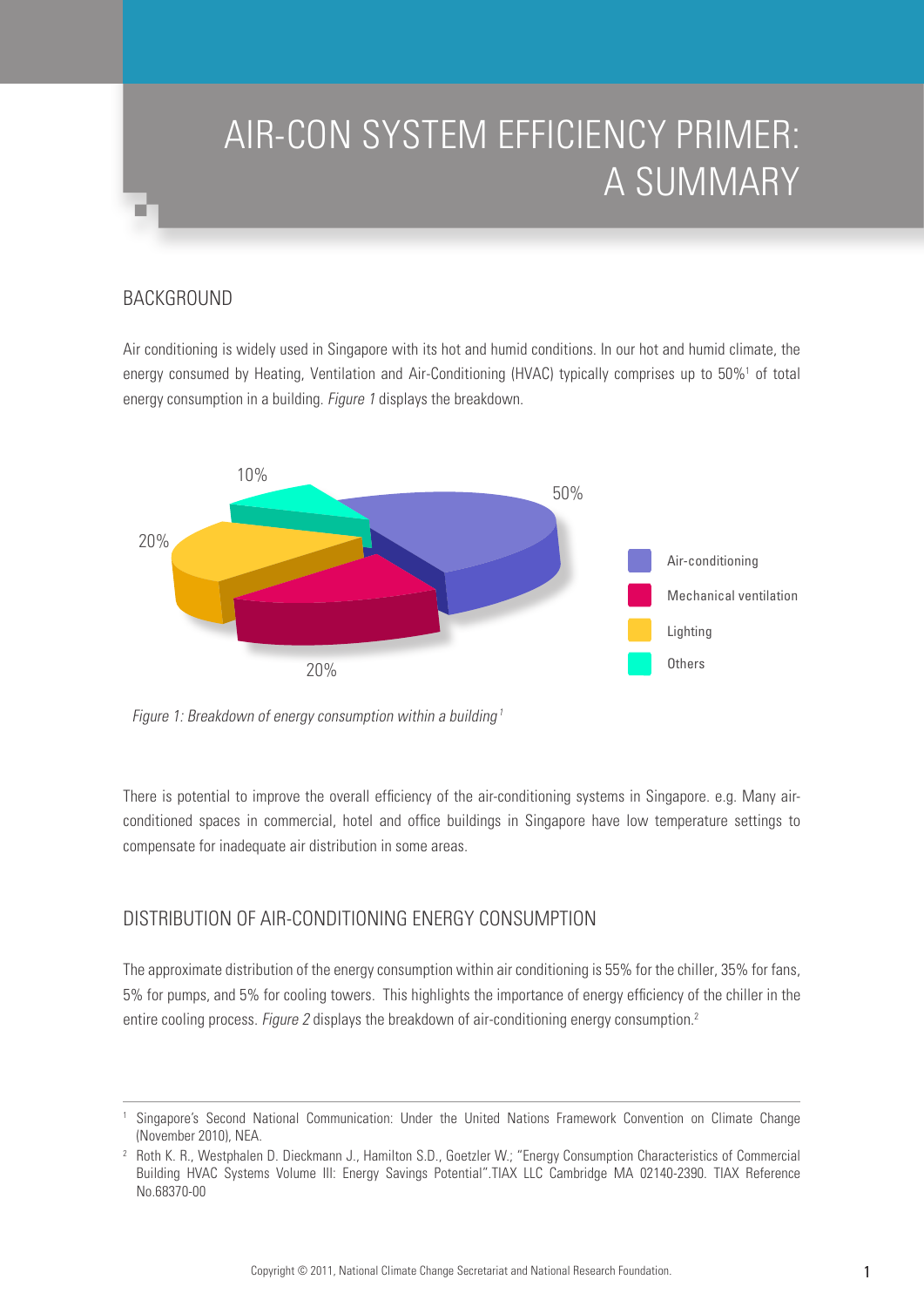# AIR-CON SYSTEM EFFICIENCY PRIMER: A SUMMARY

# **BACKGROUND**

Air conditioning is widely used in Singapore with its hot and humid conditions. In our hot and humid climate, the energy consumed by Heating, Ventilation and Air-Conditioning (HVAC) typically comprises up to 50%<sup>1</sup> of total energy consumption in a building. *Figure 1* displays the breakdown.



Figure 1: Breakdown of energy consumption within a building<sup>1</sup>

There is potential to improve the overall efficiency of the air-conditioning systems in Singapore. e.g. Many airconditioned spaces in commercial, hotel and office buildings in Singapore have low temperature settings to compensate for inadequate air distribution in some areas.

# Distribution of Air-Conditioning Energy Consumption

The approximate distribution of the energy consumption within air conditioning is 55% for the chiller, 35% for fans, 5% for pumps, and 5% for cooling towers. This highlights the importance of energy efficiency of the chiller in the entire cooling process. Figure 2 displays the breakdown of air-conditioning energy consumption.<sup>2</sup>

<sup>1</sup> Singapore's Second National Communication: Under the United Nations Framework Convention on Climate Change (November 2010), NEA.

<sup>2</sup> Roth K. R., Westphalen D. Dieckmann J., Hamilton S.D., Goetzler W.; "Energy Consumption Characteristics of Commercial Building HVAC Systems Volume III: Energy Savings Potential".TIAX LLC Cambridge MA 02140-2390. TIAX Reference No.68370-00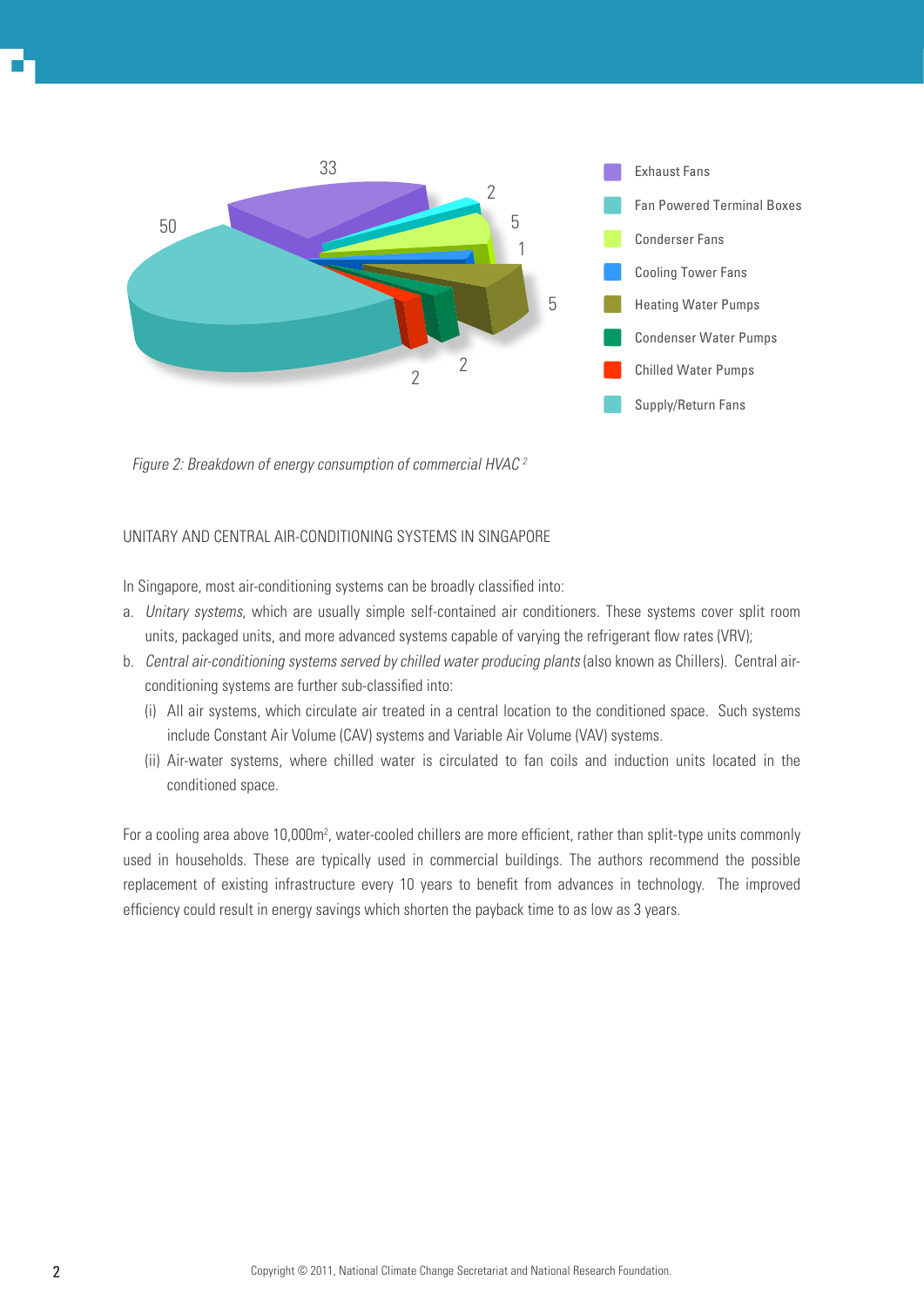

Figure 2: Breakdown of energy consumption of commercial HVAC <sup>2</sup>

### Unitary and Central Air-Conditioning Systems in Singapore

In Singapore, most air-conditioning systems can be broadly classified into:

- a. Unitary systems, which are usually simple self-contained air conditioners. These systems cover split room units, packaged units, and more advanced systems capable of varying the refrigerant flow rates (VRV);
- b. Central air-conditioning systems served by chilled water producing plants (also known as Chillers). Central airconditioning systems are further sub-classified into:
	- (i) All air systems, which circulate air treated in a central location to the conditioned space. Such systems include Constant Air Volume (CAV) systems and Variable Air Volume (VAV) systems.
	- (ii) Air-water systems, where chilled water is circulated to fan coils and induction units located in the conditioned space.

For a cooling area above 10,000m<sup>2</sup>, water-cooled chillers are more efficient, rather than split-type units commonly used in households. These are typically used in commercial buildings. The authors recommend the possible replacement of existing infrastructure every 10 years to benefit from advances in technology. The improved efficiency could result in energy savings which shorten the payback time to as low as 3 years.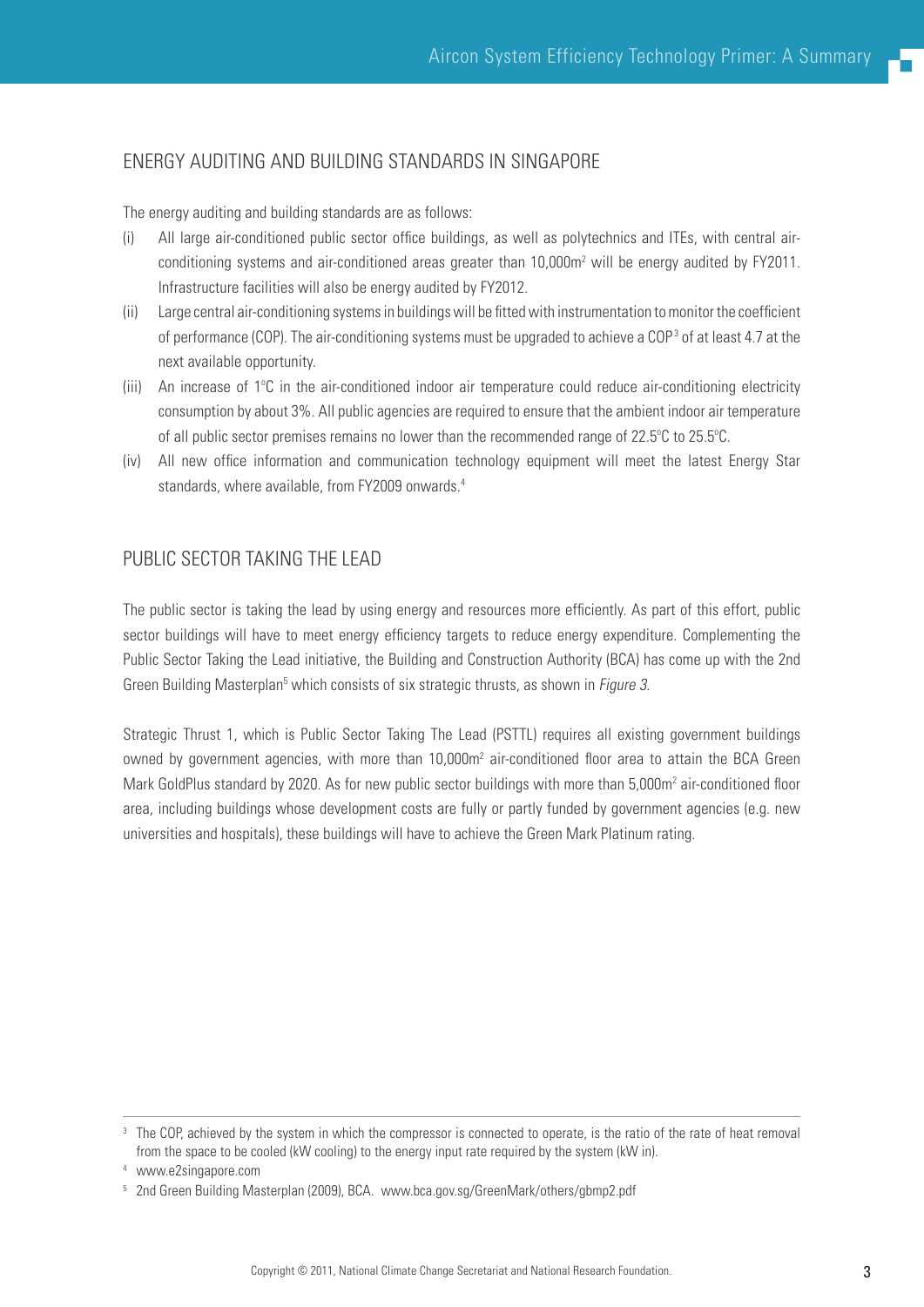## Energy Auditing and Building Standards in Singapore

The energy auditing and building standards are as follows:

- (i) All large air-conditioned public sector office buildings, as well as polytechnics and ITEs, with central airconditioning systems and air-conditioned areas greater than  $10,000$ m<sup>2</sup> will be energy audited by FY2011. Infrastructure facilities will also be energy audited by FY2012.
- (ii) Large central air-conditioning systems in buildings will be fitted with instrumentation to monitor the coefficient of performance (COP). The air-conditioning systems must be upgraded to achieve a COP<sup>3</sup> of at least 4.7 at the next available opportunity.
- (iii) An increase of 1°C in the air-conditioned indoor air temperature could reduce air-conditioning electricity consumption by about 3%. All public agencies are required to ensure that the ambient indoor air temperature of all public sector premises remains no lower than the recommended range of 22.5°C to 25.5°C.
- (iv) All new office information and communication technology equipment will meet the latest Energy Star standards, where available, from FY2009 onwards.<sup>4</sup>

# Public Sector Taking The Lead

The public sector is taking the lead by using energy and resources more efficiently. As part of this effort, public sector buildings will have to meet energy efficiency targets to reduce energy expenditure. Complementing the Public Sector Taking the Lead initiative, the Building and Construction Authority (BCA) has come up with the 2nd Green Building Masterplan<sup>5</sup> which consists of six strategic thrusts, as shown in Figure 3.

Strategic Thrust 1, which is Public Sector Taking The Lead (PSTTL) requires all existing government buildings owned by government agencies, with more than 10,000m<sup>2</sup> air-conditioned floor area to attain the BCA Green Mark GoldPlus standard by 2020. As for new public sector buildings with more than 5,000m<sup>2</sup> air-conditioned floor area, including buildings whose development costs are fully or partly funded by government agencies (e.g. new universities and hospitals), these buildings will have to achieve the Green Mark Platinum rating.

<sup>&</sup>lt;sup>3</sup> The COP, achieved by the system in which the compressor is connected to operate, is the ratio of the rate of heat removal from the space to be cooled (kW cooling) to the energy input rate required by the system (kW in).

<sup>4</sup> www.e2singapore.com

<sup>&</sup>lt;sup>5</sup> 2nd Green Building Masterplan (2009), BCA. www.bca.gov.sg/GreenMark/others/gbmp2.pdf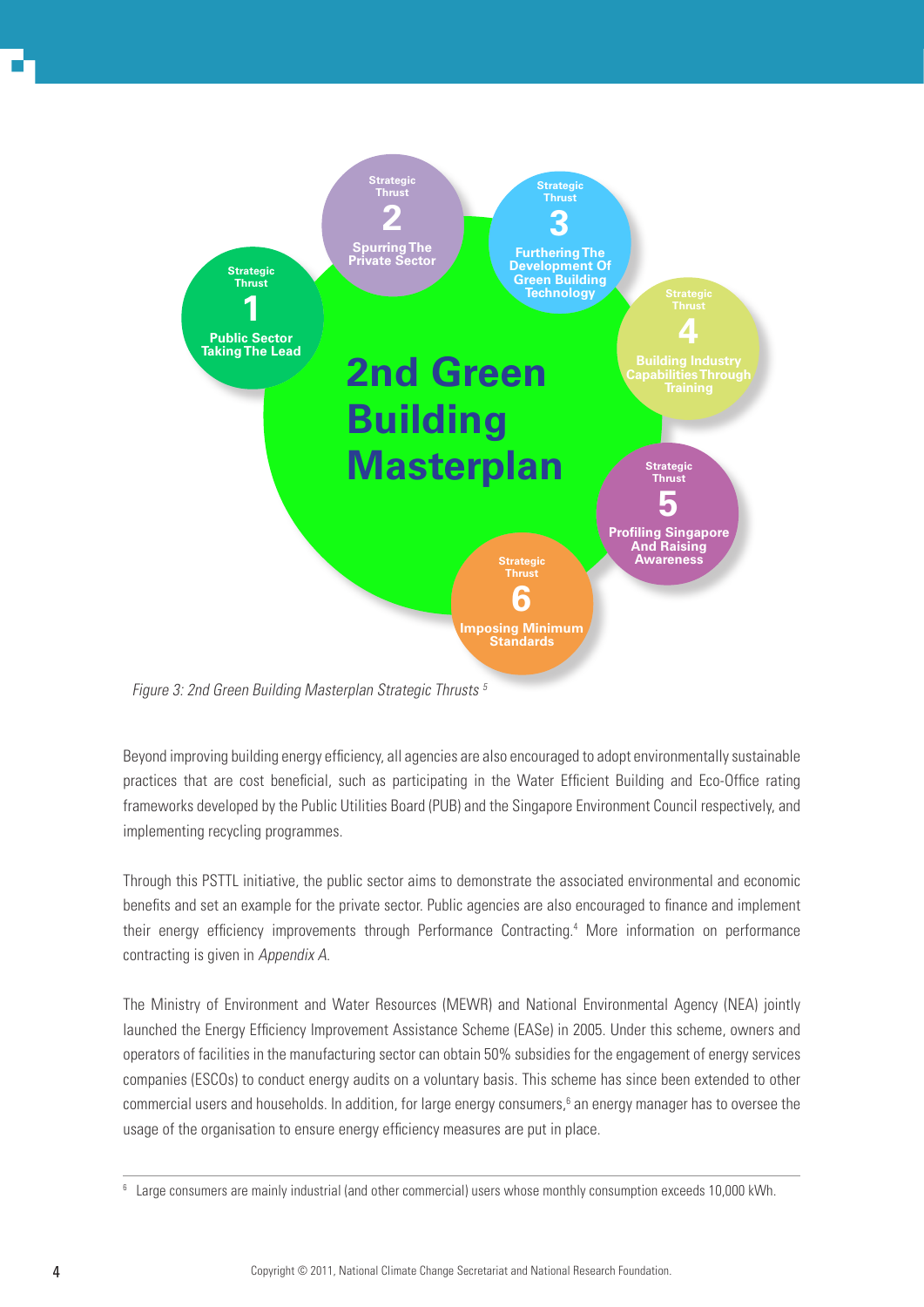

Figure 3: 2nd Green Building Masterplan Strategic Thrusts 5

Beyond improving building energy efficiency, all agencies are also encouraged to adopt environmentally sustainable practices that are cost beneficial, such as participating in the Water Efficient Building and Eco-Office rating frameworks developed by the Public Utilities Board (PUB) and the Singapore Environment Council respectively, and implementing recycling programmes.

Through this PSTTL initiative, the public sector aims to demonstrate the associated environmental and economic benefits and set an example for the private sector. Public agencies are also encouraged to finance and implement their energy efficiency improvements through Performance Contracting.4 More information on performance contracting is given in Appendix A.

The Ministry of Environment and Water Resources (MEWR) and National Environmental Agency (NEA) jointly launched the Energy Efficiency Improvement Assistance Scheme (EASe) in 2005. Under this scheme, owners and operators of facilities in the manufacturing sector can obtain 50% subsidies for the engagement of energy services companies (ESCOs) to conduct energy audits on a voluntary basis. This scheme has since been extended to other commercial users and households. In addition, for large energy consumers,<sup>6</sup> an energy manager has to oversee the usage of the organisation to ensure energy efficiency measures are put in place.

<sup>6</sup> Large consumers are mainly industrial (and other commercial) users whose monthly consumption exceeds 10,000 kWh.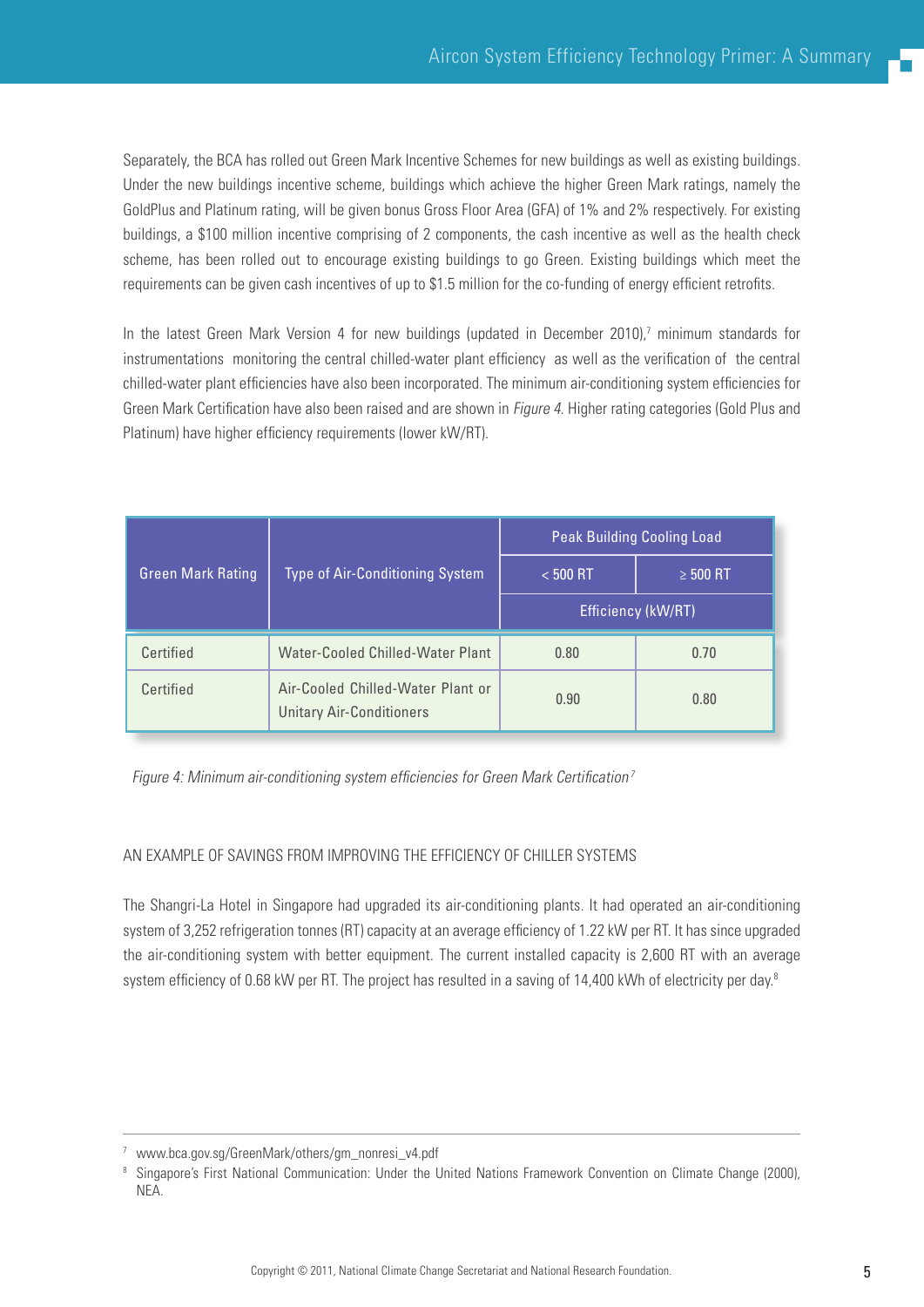Separately, the BCA has rolled out Green Mark Incentive Schemes for new buildings as well as existing buildings. Under the new buildings incentive scheme, buildings which achieve the higher Green Mark ratings, namely the GoldPlus and Platinum rating, will be given bonus Gross Floor Area (GFA) of 1% and 2% respectively. For existing buildings, a \$100 million incentive comprising of 2 components, the cash incentive as well as the health check scheme, has been rolled out to encourage existing buildings to go Green. Existing buildings which meet the requirements can be given cash incentives of up to \$1.5 million for the co-funding of energy efficient retrofits.

In the latest Green Mark Version 4 for new buildings (updated in December 2010),<sup>7</sup> minimum standards for instrumentations monitoring the central chilled-water plant efficiency as well as the verification of the central chilled-water plant efficiencies have also been incorporated. The minimum air-conditioning system efficiencies for Green Mark Certification have also been raised and are shown in Figure 4. Higher rating categories (Gold Plus and Platinum) have higher efficiency requirements (lower kW/RT).

|                          | <b>Type of Air-Conditioning System</b>                               | <b>Peak Building Cooling Load</b> |               |
|--------------------------|----------------------------------------------------------------------|-----------------------------------|---------------|
| <b>Green Mark Rating</b> |                                                                      | $< 500$ RT                        | $\geq 500$ RT |
|                          |                                                                      | Efficiency (kW/RT)                |               |
| Certified                | Water-Cooled Chilled-Water Plant                                     | 0.80                              | 0.70          |
| Certified                | Air-Cooled Chilled-Water Plant or<br><b>Unitary Air-Conditioners</b> | 0.90                              | 0.80          |

Figure 4: Minimum air-conditioning system efficiencies for Green Mark Certification<sup>7</sup>

### An Example of Savings from Improving the Efficiency of Chiller systems

The Shangri-La Hotel in Singapore had upgraded its air-conditioning plants. It had operated an air-conditioning system of 3,252 refrigeration tonnes (RT) capacity at an average efficiency of 1.22 kW per RT. It has since upgraded the air-conditioning system with better equipment. The current installed capacity is 2,600 RT with an average system efficiency of 0.68 kW per RT. The project has resulted in a saving of 14,400 kWh of electricity per day.<sup>8</sup>

<sup>7</sup> www.bca.gov.sg/GreenMark/others/gm\_nonresi\_v4.pdf

<sup>&</sup>lt;sup>8</sup> Singapore's First National Communication: Under the United Nations Framework Convention on Climate Change (2000), NEA.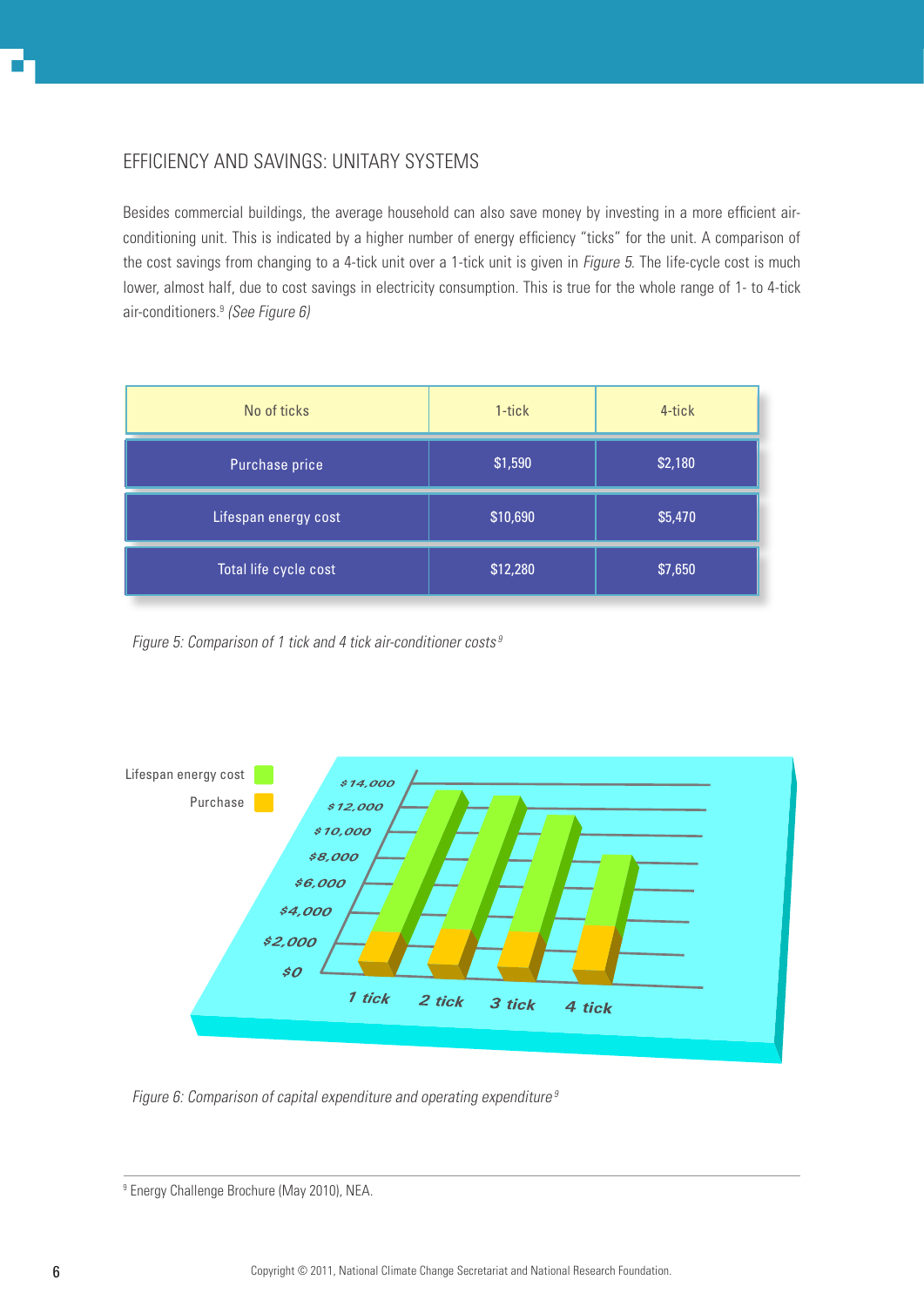# Efficiency and savingS: Unitary systems

Besides commercial buildings, the average household can also save money by investing in a more efficient airconditioning unit. This is indicated by a higher number of energy efficiency "ticks" for the unit. A comparison of the cost savings from changing to a 4-tick unit over a 1-tick unit is given in Figure 5. The life-cycle cost is much lower, almost half, due to cost savings in electricity consumption. This is true for the whole range of 1- to 4-tick air-conditioners.<sup>9</sup> (See Figure 6)

| No of ticks           | 1-tick   | 4-tick  |
|-----------------------|----------|---------|
| Purchase price        | \$1,590  | \$2,180 |
| Lifespan energy cost  | \$10,690 | \$5,470 |
| Total life cycle cost | \$12,280 | \$7,650 |

Figure 5: Comparison of 1 tick and 4 tick air-conditioner costs<sup>9</sup>



Figure 6: Comparison of capital expenditure and operating expenditure<sup>9</sup>

<sup>9</sup> Energy Challenge Brochure (May 2010), NEA.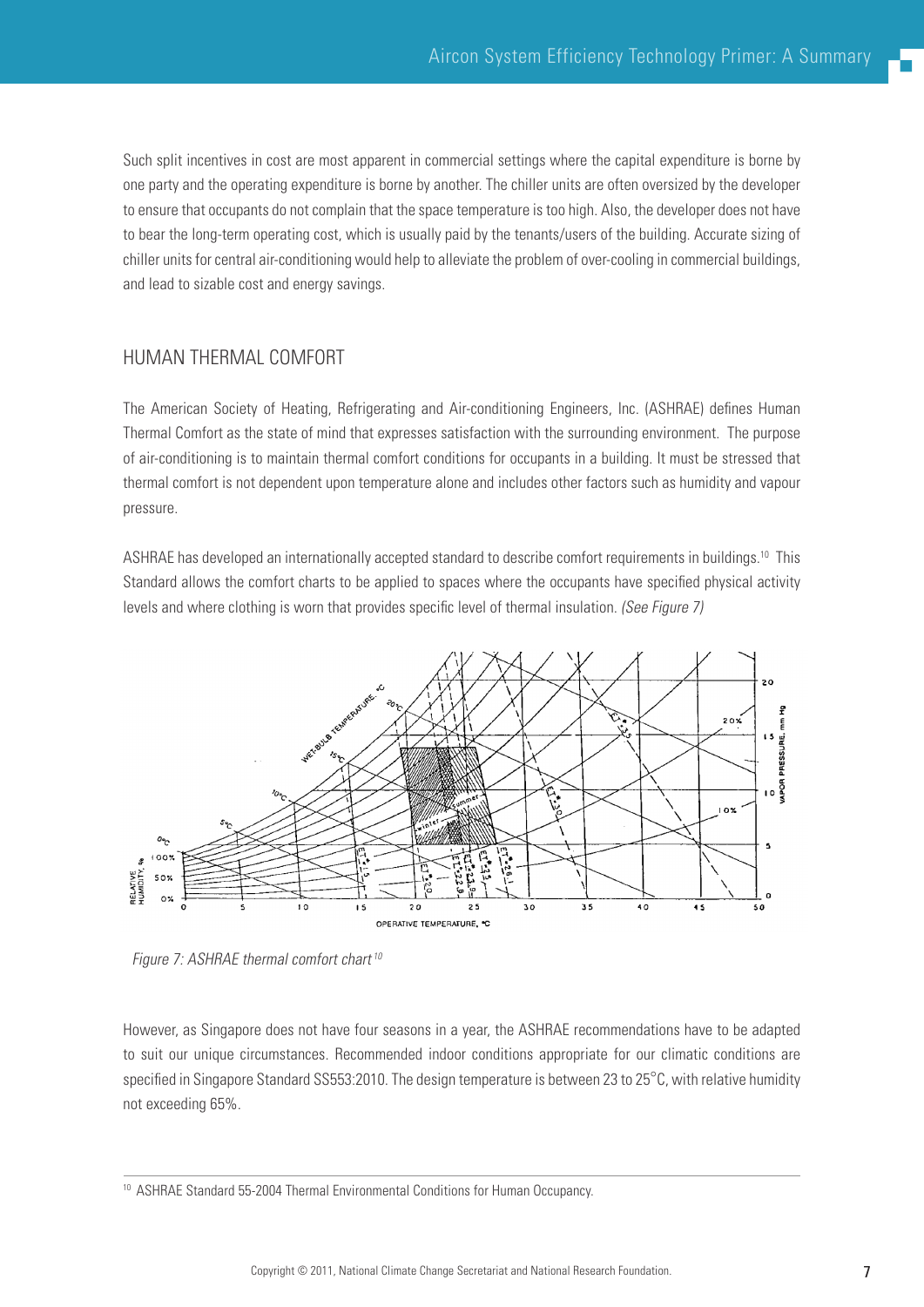Such split incentives in cost are most apparent in commercial settings where the capital expenditure is borne by one party and the operating expenditure is borne by another. The chiller units are often oversized by the developer to ensure that occupants do not complain that the space temperature is too high. Also, the developer does not have to bear the long-term operating cost, which is usually paid by the tenants/users of the building. Accurate sizing of chiller units for central air-conditioning would help to alleviate the problem of over-cooling in commercial buildings, and lead to sizable cost and energy savings.

# Human Thermal Comfort

The American Society of Heating, Refrigerating and Air-conditioning Engineers, Inc. (ASHRAE) defines Human Thermal Comfort as the state of mind that expresses satisfaction with the surrounding environment. The purpose of air-conditioning is to maintain thermal comfort conditions for occupants in a building. It must be stressed that thermal comfort is not dependent upon temperature alone and includes other factors such as humidity and vapour pressure.

ASHRAE has developed an internationally accepted standard to describe comfort requirements in buildings.10 This Standard allows the comfort charts to be applied to spaces where the occupants have specified physical activity levels and where clothing is worn that provides specific level of thermal insulation. (See Figure 7)



Figure 7: ASHRAE thermal comfort chart<sup>10</sup>

However, as Singapore does not have four seasons in a year, the ASHRAE recommendations have to be adapted to suit our unique circumstances. Recommended indoor conditions appropriate for our climatic conditions are specified in Singapore Standard SS553:2010. The design temperature is between 23 to 25°C, with relative humidity not exceeding 65%.

<sup>&</sup>lt;sup>10</sup> ASHRAE Standard 55-2004 Thermal Environmental Conditions for Human Occupancy.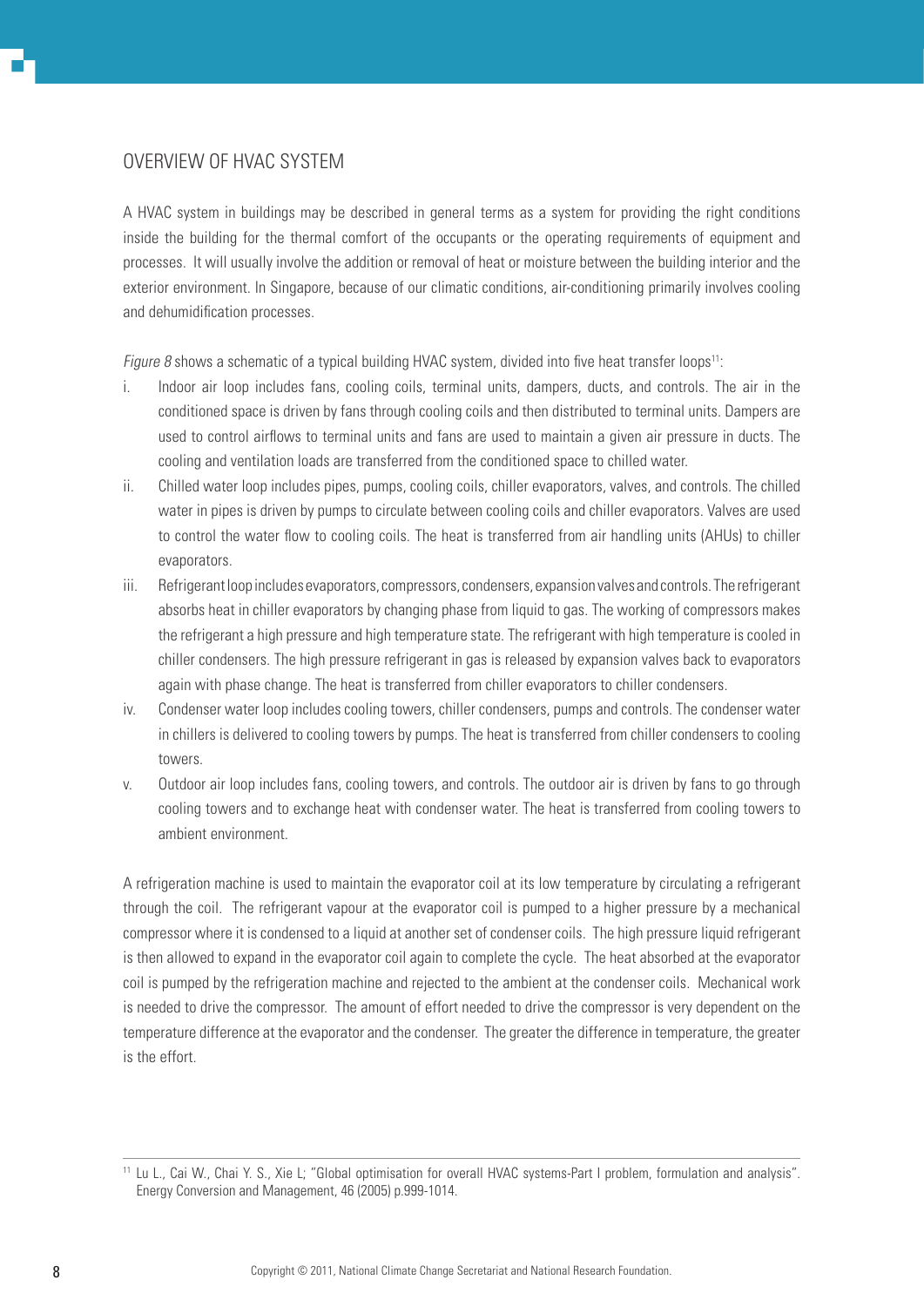# Overview of HVAC System

A HVAC system in buildings may be described in general terms as a system for providing the right conditions inside the building for the thermal comfort of the occupants or the operating requirements of equipment and processes. It will usually involve the addition or removal of heat or moisture between the building interior and the exterior environment. In Singapore, because of our climatic conditions, air-conditioning primarily involves cooling and dehumidification processes.

Figure 8 shows a schematic of a typical building HVAC system, divided into five heat transfer loops<sup>11</sup>:

- i. Indoor air loop includes fans, cooling coils, terminal units, dampers, ducts, and controls. The air in the conditioned space is driven by fans through cooling coils and then distributed to terminal units. Dampers are used to control airflows to terminal units and fans are used to maintain a given air pressure in ducts. The cooling and ventilation loads are transferred from the conditioned space to chilled water.
- ii. Chilled water loop includes pipes, pumps, cooling coils, chiller evaporators, valves, and controls. The chilled water in pipes is driven by pumps to circulate between cooling coils and chiller evaporators. Valves are used to control the water flow to cooling coils. The heat is transferred from air handling units (AHUs) to chiller evaporators.
- iii. Refrigerant loop includes evaporators, compressors, condensers, expansion valves and controls. The refrigerant absorbs heat in chiller evaporators by changing phase from liquid to gas. The working of compressors makes the refrigerant a high pressure and high temperature state. The refrigerant with high temperature is cooled in chiller condensers. The high pressure refrigerant in gas is released by expansion valves back to evaporators again with phase change. The heat is transferred from chiller evaporators to chiller condensers.
- iv. Condenser water loop includes cooling towers, chiller condensers, pumps and controls. The condenser water in chillers is delivered to cooling towers by pumps. The heat is transferred from chiller condensers to cooling towers.
- v. Outdoor air loop includes fans, cooling towers, and controls. The outdoor air is driven by fans to go through cooling towers and to exchange heat with condenser water. The heat is transferred from cooling towers to ambient environment.

A refrigeration machine is used to maintain the evaporator coil at its low temperature by circulating a refrigerant through the coil. The refrigerant vapour at the evaporator coil is pumped to a higher pressure by a mechanical compressor where it is condensed to a liquid at another set of condenser coils. The high pressure liquid refrigerant is then allowed to expand in the evaporator coil again to complete the cycle. The heat absorbed at the evaporator coil is pumped by the refrigeration machine and rejected to the ambient at the condenser coils. Mechanical work is needed to drive the compressor. The amount of effort needed to drive the compressor is very dependent on the temperature difference at the evaporator and the condenser. The greater the difference in temperature, the greater is the effort.

<sup>11</sup> Lu L., Cai W., Chai Y. S., Xie L; "Global optimisation for overall HVAC systems-Part I problem, formulation and analysis". Energy Conversion and Management, 46 (2005) p.999-1014.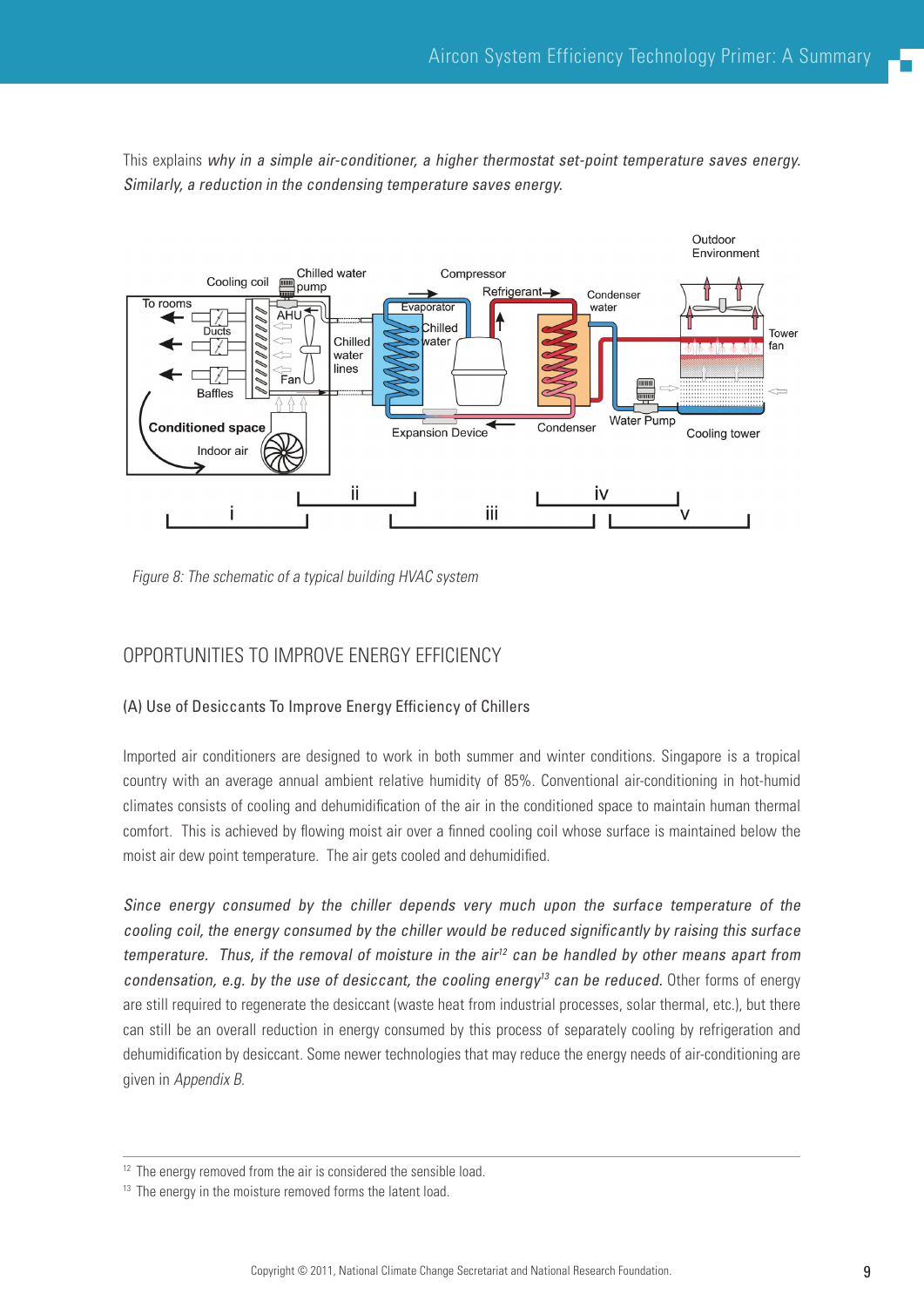This explains why in a simple air-conditioner, a higher thermostat set-point temperature saves energy. Similarly, a reduction in the condensing temperature saves energy.



Figure 8: The schematic of a typical building HVAC system

## Opportunities to improve Energy Efficiency

#### (A) Use of Desiccants To Improve Energy Efficiency of Chillers

Imported air conditioners are designed to work in both summer and winter conditions. Singapore is a tropical country with an average annual ambient relative humidity of 85%. Conventional air-conditioning in hot-humid climates consists of cooling and dehumidification of the air in the conditioned space to maintain human thermal comfort. This is achieved by flowing moist air over a finned cooling coil whose surface is maintained below the moist air dew point temperature. The air gets cooled and dehumidified.

Since energy consumed by the chiller depends very much upon the surface temperature of the cooling coil, the energy consumed by the chiller would be reduced significantly by raising this surface temperature. Thus, if the removal of moisture in the air<sup>12</sup> can be handled by other means apart from condensation, e.g. by the use of desiccant, the cooling energy<sup>13</sup> can be reduced. Other forms of energy are still required to regenerate the desiccant (waste heat from industrial processes, solar thermal, etc.), but there can still be an overall reduction in energy consumed by this process of separately cooling by refrigeration and dehumidification by desiccant. Some newer technologies that may reduce the energy needs of air-conditioning are given in Appendix B.

 $12$  The energy removed from the air is considered the sensible load.

 $13$  The energy in the moisture removed forms the latent load.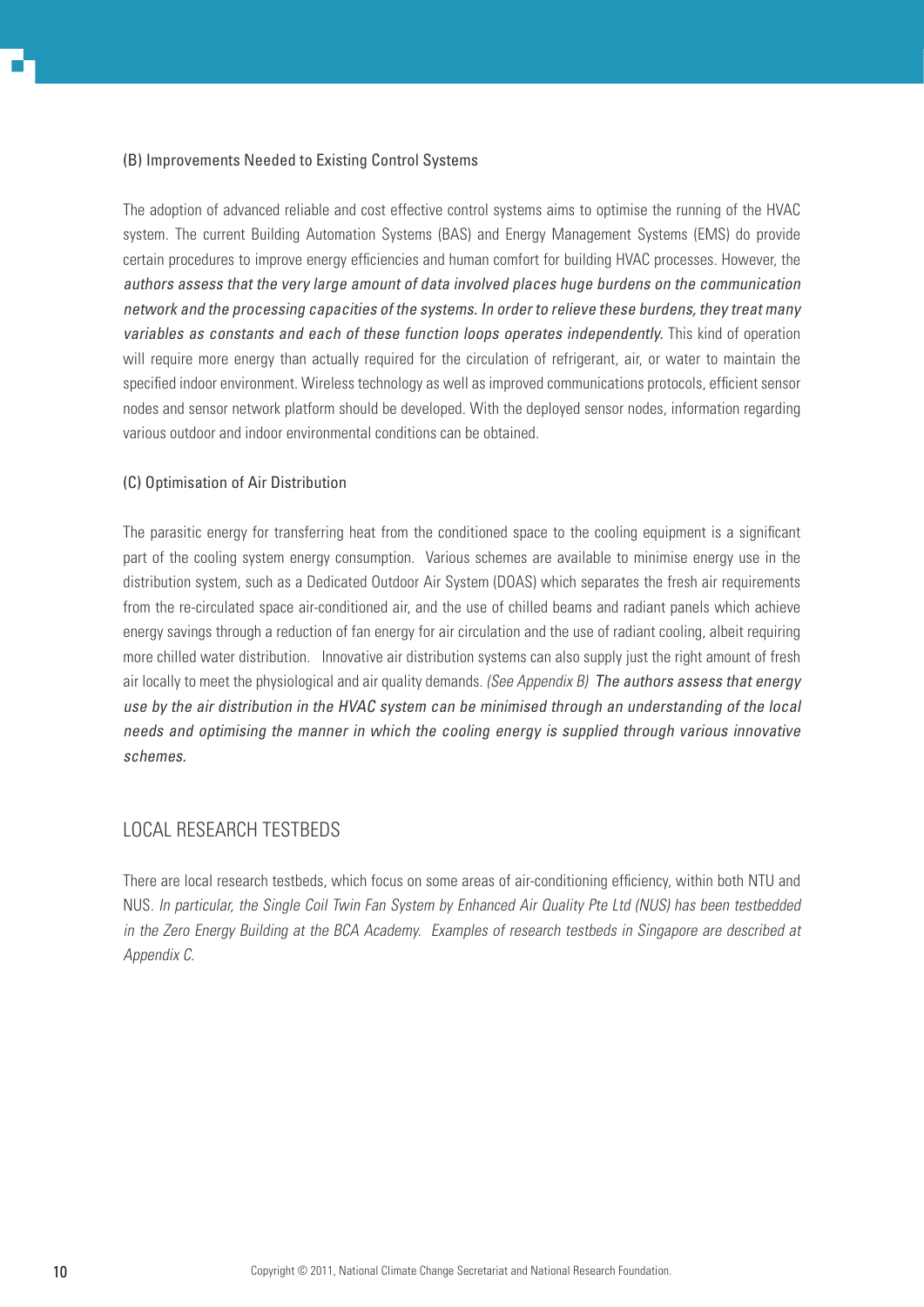#### (B) Improvements Needed to Existing Control Systems

The adoption of advanced reliable and cost effective control systems aims to optimise the running of the HVAC system. The current Building Automation Systems (BAS) and Energy Management Systems (EMS) do provide certain procedures to improve energy efficiencies and human comfort for building HVAC processes. However, the authors assess that the very large amount of data involved places huge burdens on the communication network and the processing capacities of the systems. In order to relieve these burdens, they treat many variables as constants and each of these function loops operates independently. This kind of operation will require more energy than actually required for the circulation of refrigerant, air, or water to maintain the specified indoor environment. Wireless technology as well as improved communications protocols, efficient sensor nodes and sensor network platform should be developed. With the deployed sensor nodes, information regarding various outdoor and indoor environmental conditions can be obtained.

#### (C) Optimisation of Air Distribution

The parasitic energy for transferring heat from the conditioned space to the cooling equipment is a significant part of the cooling system energy consumption. Various schemes are available to minimise energy use in the distribution system, such as a Dedicated Outdoor Air System (DOAS) which separates the fresh air requirements from the re-circulated space air-conditioned air, and the use of chilled beams and radiant panels which achieve energy savings through a reduction of fan energy for air circulation and the use of radiant cooling, albeit requiring more chilled water distribution. Innovative air distribution systems can also supply just the right amount of fresh air locally to meet the physiological and air quality demands. (See Appendix  $B$ ) The authors assess that energy use by the air distribution in the HVAC system can be minimised through an understanding of the local needs and optimising the manner in which the cooling energy is supplied through various innovative schemes.

## Local Research Testbeds

There are local research testbeds, which focus on some areas of air-conditioning efficiency, within both NTU and NUS. In particular, the Single Coil Twin Fan System by Enhanced Air Quality Pte Ltd (NUS) has been testbedded in the Zero Energy Building at the BCA Academy. Examples of research testbeds in Singapore are described at Appendix C.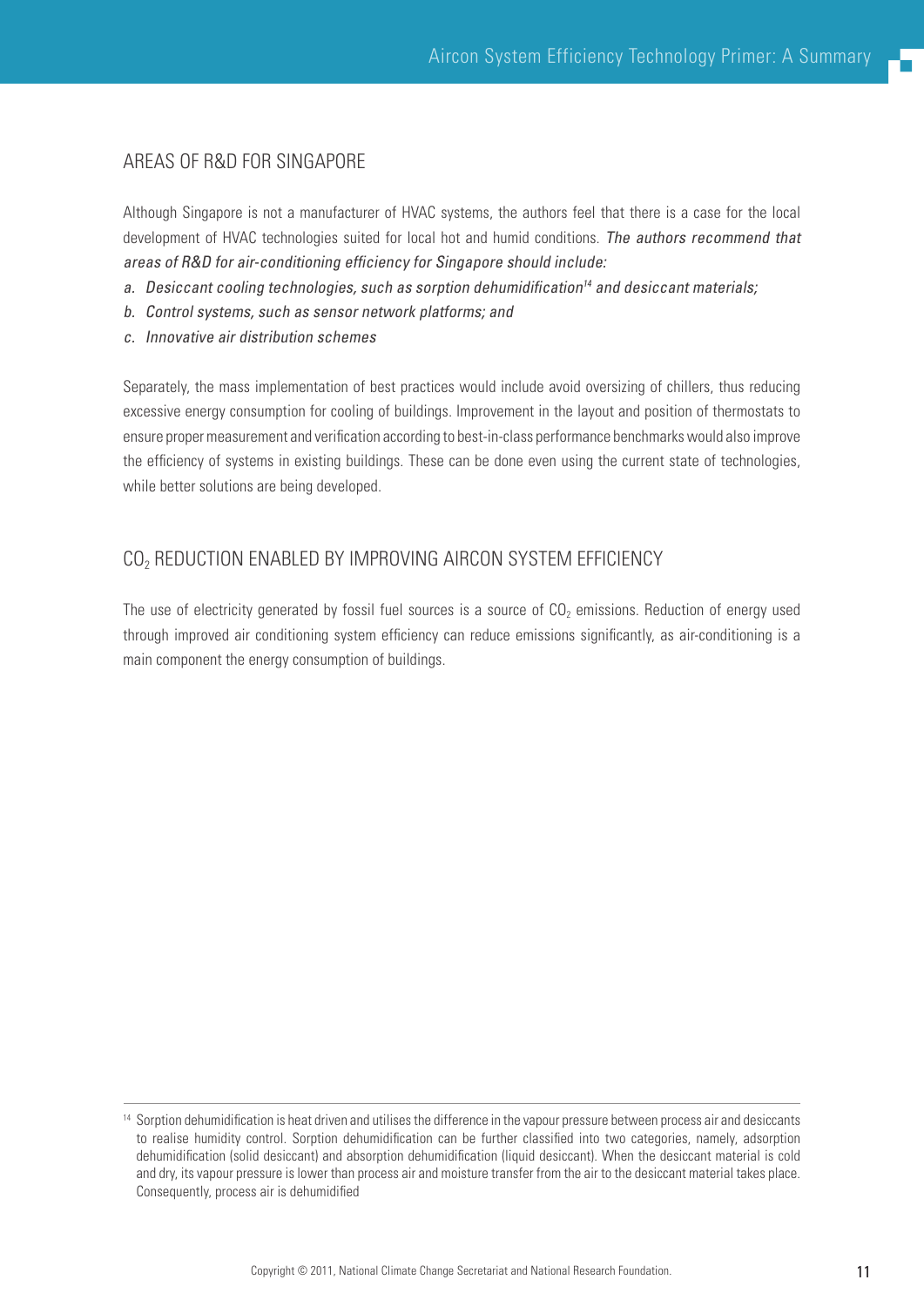## Areas of R&D for Singapore

Although Singapore is not a manufacturer of HVAC systems, the authors feel that there is a case for the local development of HVAC technologies suited for local hot and humid conditions. The authors recommend that areas of R&D for air-conditioning efficiency for Singapore should include:

- a. Desiccant cooling technologies, such as sorption dehumidification<sup>14</sup> and desiccant materials;
- b. Control systems, such as sensor network platforms; and
- c. Innovative air distribution schemes

Separately, the mass implementation of best practices would include avoid oversizing of chillers, thus reducing excessive energy consumption for cooling of buildings. Improvement in the layout and position of thermostats to ensure proper measurement and verification according to best-in-class performance benchmarks would also improve the efficiency of systems in existing buildings. These can be done even using the current state of technologies, while better solutions are being developed.

# CO<sub>2</sub> REDUCTION ENABLED BY IMPROVING AIRCON SYSTEM EFFICIENCY

The use of electricity generated by fossil fuel sources is a source of  $CO<sub>2</sub>$  emissions. Reduction of energy used through improved air conditioning system efficiency can reduce emissions significantly, as air-conditioning is a main component the energy consumption of buildings.

<sup>&</sup>lt;sup>14</sup> Sorption dehumidification is heat driven and utilises the difference in the vapour pressure between process air and desiccants to realise humidity control. Sorption dehumidification can be further classified into two categories, namely, adsorption dehumidification (solid desiccant) and absorption dehumidification (liquid desiccant). When the desiccant material is cold and dry, its vapour pressure is lower than process air and moisture transfer from the air to the desiccant material takes place. Consequently, process air is dehumidified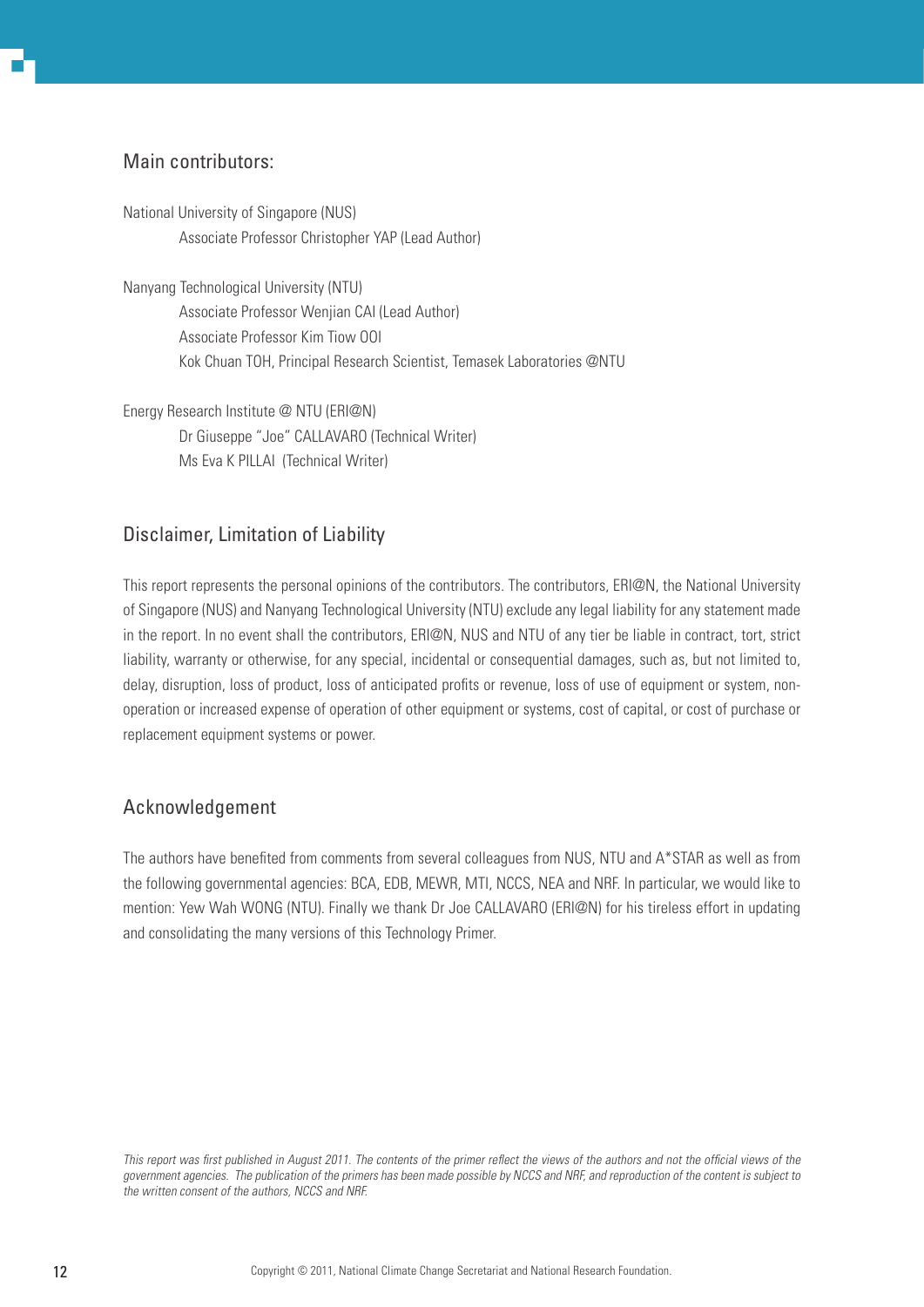# Main contributors:

National University of Singapore (NUS) Associate Professor Christopher YAP (Lead Author)

Nanyang Technological University (NTU) Associate Professor Wenjian CAI (Lead Author) Associate Professor Kim Tiow OOI Kok Chuan TOH, Principal Research Scientist, Temasek Laboratories @NTU

Energy Research Institute @ NTU (ERI@N) Dr Giuseppe "Joe" CALLAVARO (Technical Writer) Ms Eva K PILLAI (Technical Writer)

# Disclaimer, Limitation of Liability

This report represents the personal opinions of the contributors. The contributors, ERI@N, the National University of Singapore (NUS) and Nanyang Technological University (NTU) exclude any legal liability for any statement made in the report. In no event shall the contributors, ERI@N, NUS and NTU of any tier be liable in contract, tort, strict liability, warranty or otherwise, for any special, incidental or consequential damages, such as, but not limited to, delay, disruption, loss of product, loss of anticipated profits or revenue, loss of use of equipment or system, nonoperation or increased expense of operation of other equipment or systems, cost of capital, or cost of purchase or replacement equipment systems or power.

# Acknowledgement

The authors have benefited from comments from several colleagues from NUS, NTU and A\*STAR as well as from the following governmental agencies: BCA, EDB, MEWR, MTI, NCCS, NEA and NRF. In particular, we would like to mention: Yew Wah WONG (NTU). Finally we thank Dr Joe CALLAVARO (ERI@N) for his tireless effort in updating and consolidating the many versions of this Technology Primer.

This report was first published in August 2011. The contents of the primer reflect the views of the authors and not the official views of the government agencies. The publication of the primers has been made possible by NCCS and NRF, and reproduction of the content is subject to the written consent of the authors, NCCS and NRF.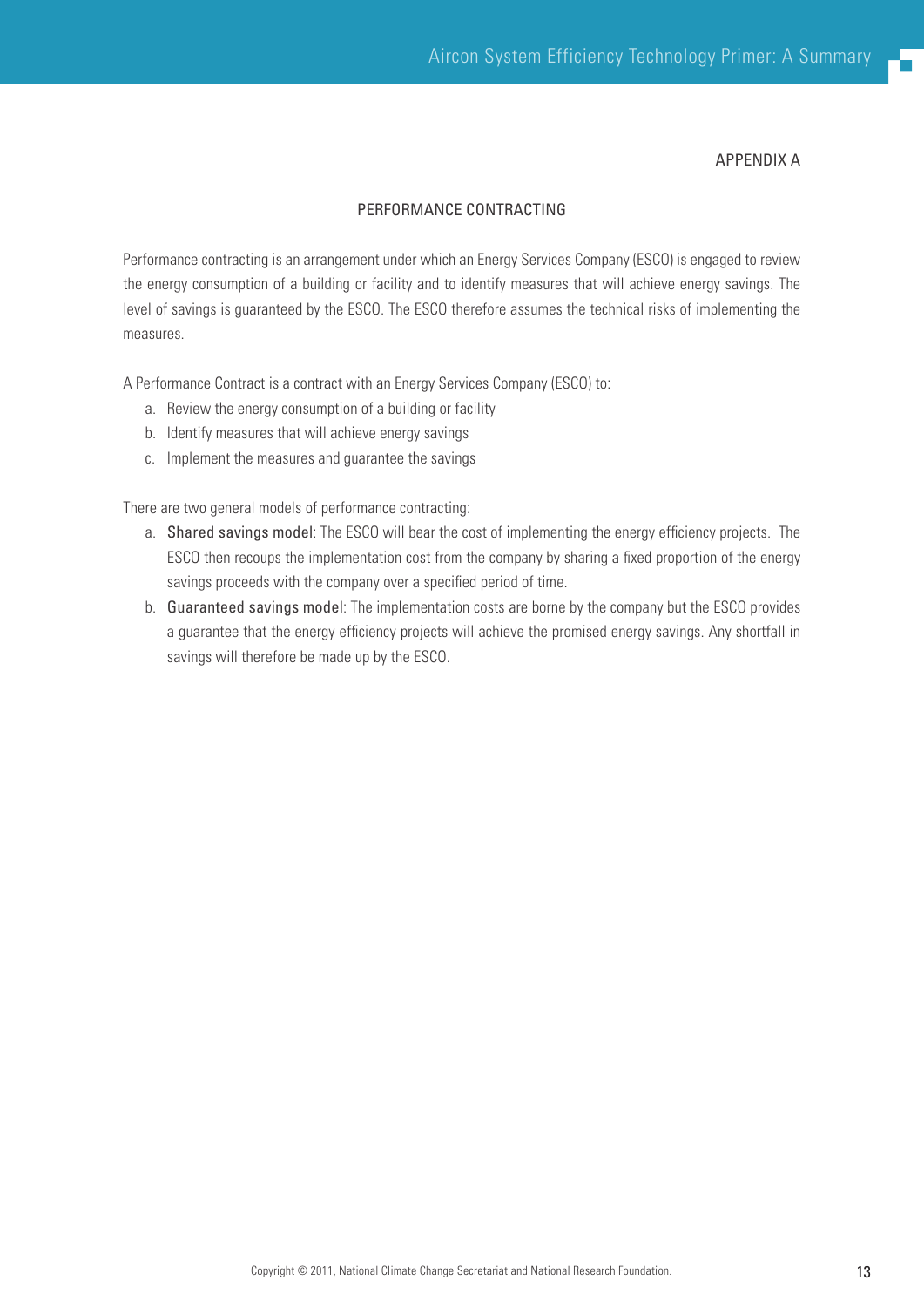APPENDIX A

## Performance Contracting

Performance contracting is an arrangement under which an Energy Services Company (ESCO) is engaged to review the energy consumption of a building or facility and to identify measures that will achieve energy savings. The level of savings is guaranteed by the ESCO. The ESCO therefore assumes the technical risks of implementing the measures.

A Performance Contract is a contract with an Energy Services Company (ESCO) to:

- a. Review the energy consumption of a building or facility
- b. Identify measures that will achieve energy savings
- c. Implement the measures and guarantee the savings

There are two general models of performance contracting:

- a. Shared savings model: The ESCO will bear the cost of implementing the energy efficiency projects. The ESCO then recoups the implementation cost from the company by sharing a fixed proportion of the energy savings proceeds with the company over a specified period of time.
- b. Guaranteed savings model: The implementation costs are borne by the company but the ESCO provides a guarantee that the energy efficiency projects will achieve the promised energy savings. Any shortfall in savings will therefore be made up by the ESCO.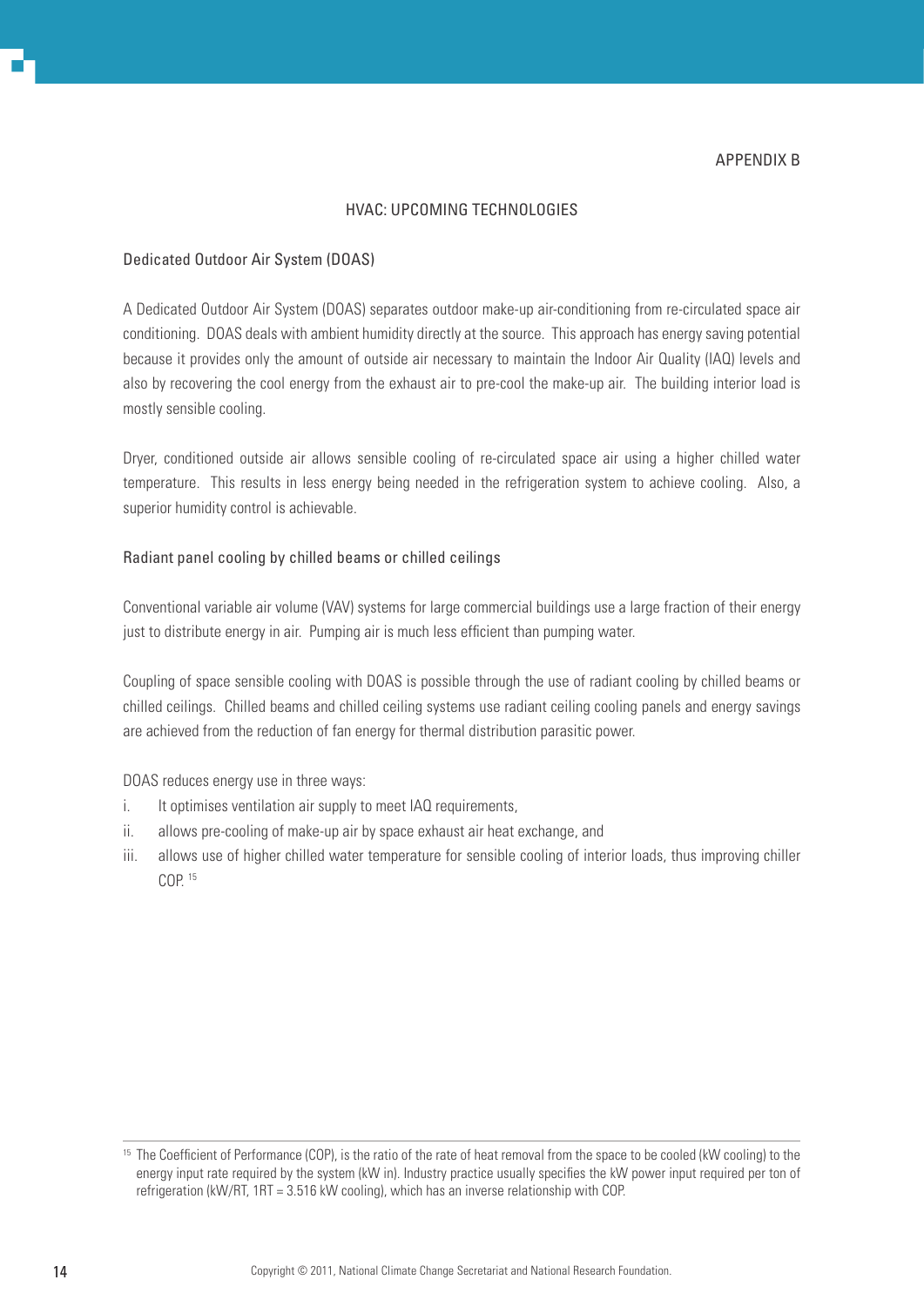## HVAC: Upcoming Technologies

#### Dedicated Outdoor Air System (DOAS)

A Dedicated Outdoor Air System (DOAS) separates outdoor make-up air-conditioning from re-circulated space air conditioning. DOAS deals with ambient humidity directly at the source. This approach has energy saving potential because it provides only the amount of outside air necessary to maintain the Indoor Air Quality (IAQ) levels and also by recovering the cool energy from the exhaust air to pre-cool the make-up air. The building interior load is mostly sensible cooling.

Dryer, conditioned outside air allows sensible cooling of re-circulated space air using a higher chilled water temperature. This results in less energy being needed in the refrigeration system to achieve cooling. Also, a superior humidity control is achievable.

#### Radiant panel cooling by chilled beams or chilled ceilings

Conventional variable air volume (VAV) systems for large commercial buildings use a large fraction of their energy just to distribute energy in air. Pumping air is much less efficient than pumping water.

Coupling of space sensible cooling with DOAS is possible through the use of radiant cooling by chilled beams or chilled ceilings. Chilled beams and chilled ceiling systems use radiant ceiling cooling panels and energy savings are achieved from the reduction of fan energy for thermal distribution parasitic power.

DOAS reduces energy use in three ways:

- i. It optimises ventilation air supply to meet IAQ requirements,
- ii. allows pre-cooling of make-up air by space exhaust air heat exchange, and
- iii. allows use of higher chilled water temperature for sensible cooling of interior loads, thus improving chiller  $COP$ <sup>15</sup>

<sup>&</sup>lt;sup>15</sup> The Coefficient of Performance (COP), is the ratio of the rate of heat removal from the space to be cooled (kW cooling) to the energy input rate required by the system (kW in). Industry practice usually specifies the kW power input required per ton of refrigeration (kW/RT, 1RT = 3.516 kW cooling), which has an inverse relationship with COP.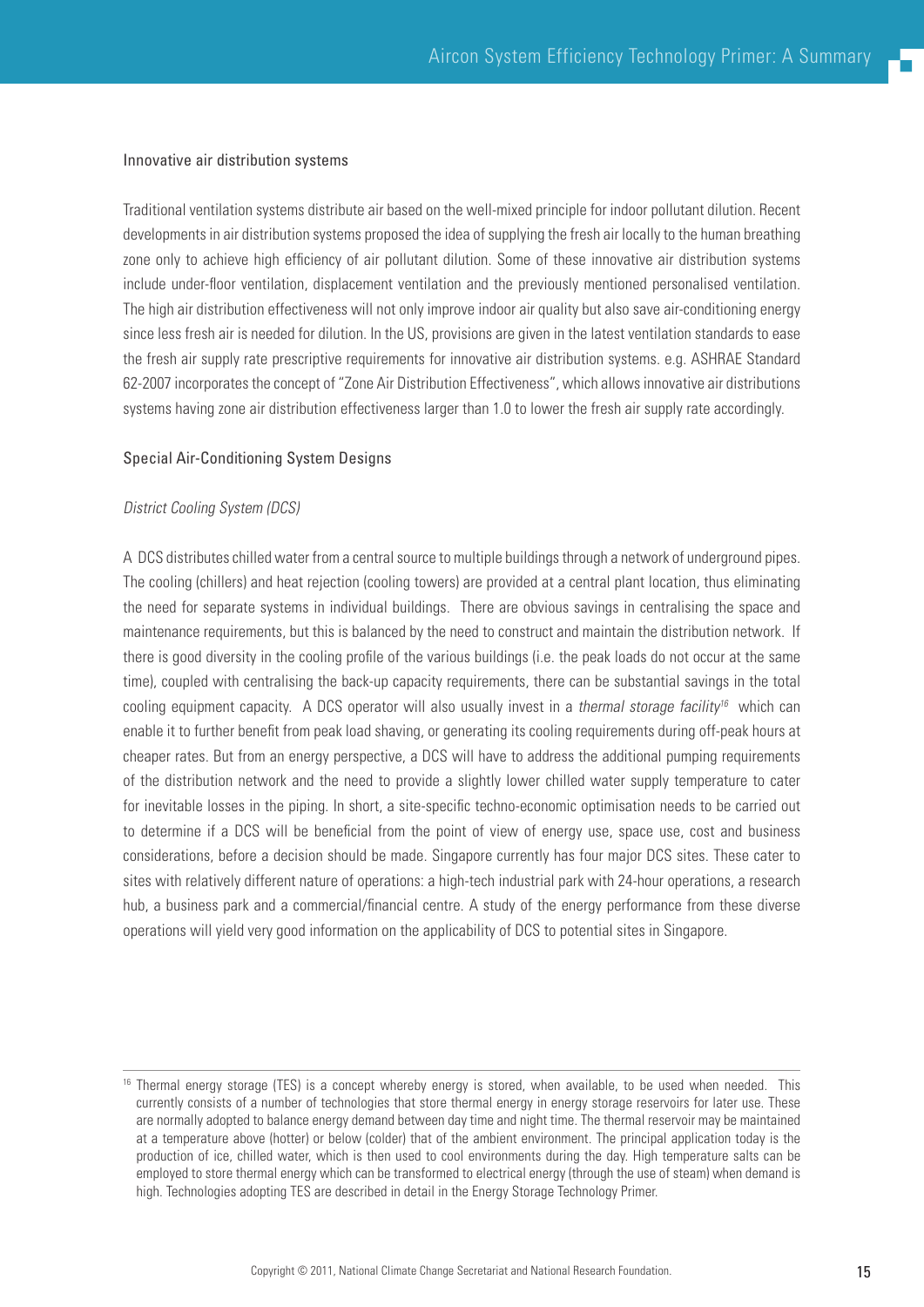#### Innovative air distribution systems

Traditional ventilation systems distribute air based on the well-mixed principle for indoor pollutant dilution. Recent developments in air distribution systems proposed the idea of supplying the fresh air locally to the human breathing zone only to achieve high efficiency of air pollutant dilution. Some of these innovative air distribution systems include under-floor ventilation, displacement ventilation and the previously mentioned personalised ventilation. The high air distribution effectiveness will not only improve indoor air quality but also save air-conditioning energy since less fresh air is needed for dilution. In the US, provisions are given in the latest ventilation standards to ease the fresh air supply rate prescriptive requirements for innovative air distribution systems. e.g. ASHRAE Standard 62-2007 incorporates the concept of "Zone Air Distribution Effectiveness", which allows innovative air distributions systems having zone air distribution effectiveness larger than 1.0 to lower the fresh air supply rate accordingly.

#### Special Air-Conditioning System Designs

#### District Cooling System (DCS)

A DCS distributes chilled water from a central source to multiple buildings through a network of underground pipes. The cooling (chillers) and heat rejection (cooling towers) are provided at a central plant location, thus eliminating the need for separate systems in individual buildings. There are obvious savings in centralising the space and maintenance requirements, but this is balanced by the need to construct and maintain the distribution network. If there is good diversity in the cooling profile of the various buildings (i.e. the peak loads do not occur at the same time), coupled with centralising the back-up capacity requirements, there can be substantial savings in the total cooling equipment capacity. A DCS operator will also usually invest in a thermal storage facility<sup>16</sup> which can enable it to further benefit from peak load shaving, or generating its cooling requirements during off-peak hours at cheaper rates. But from an energy perspective, a DCS will have to address the additional pumping requirements of the distribution network and the need to provide a slightly lower chilled water supply temperature to cater for inevitable losses in the piping. In short, a site-specific techno-economic optimisation needs to be carried out to determine if a DCS will be beneficial from the point of view of energy use, space use, cost and business considerations, before a decision should be made. Singapore currently has four major DCS sites. These cater to sites with relatively different nature of operations: a high-tech industrial park with 24-hour operations, a research hub, a business park and a commercial/financial centre. A study of the energy performance from these diverse operations will yield very good information on the applicability of DCS to potential sites in Singapore.

<sup>&</sup>lt;sup>16</sup> Thermal energy storage (TES) is a concept whereby energy is stored, when available, to be used when needed. This currently consists of a number of technologies that store thermal energy in energy storage reservoirs for later use. These are normally adopted to balance energy demand between day time and night time. The thermal reservoir may be maintained at a temperature above (hotter) or below (colder) that of the ambient environment. The principal application today is the production of ice, chilled water, which is then used to cool environments during the day. High temperature salts can be employed to store thermal energy which can be transformed to electrical energy (through the use of steam) when demand is high. Technologies adopting TES are described in detail in the Energy Storage Technology Primer.